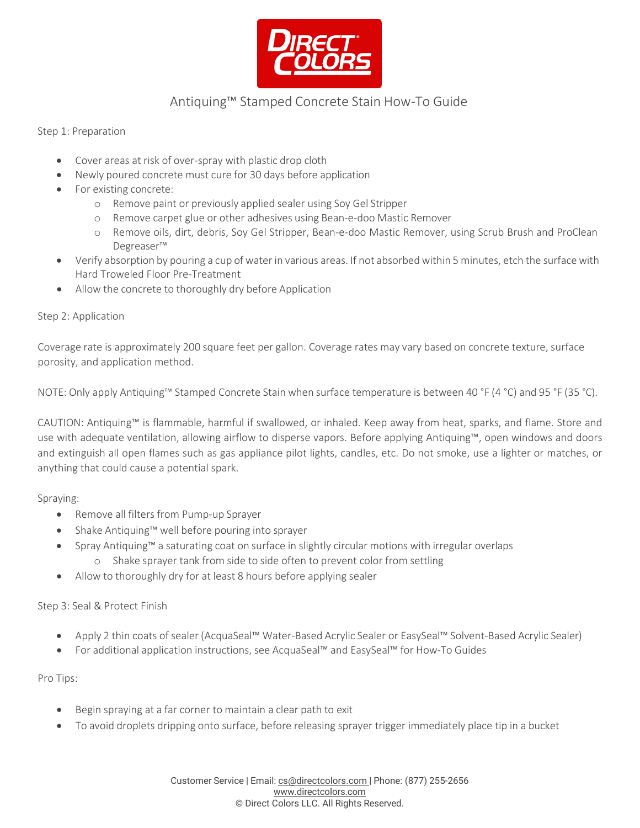

## Antiquing™ Stamped Concrete Stain How-To Guide

Step 1: Preparation

- Cover areas at risk of over-spray with plastic drop cloth
- Newly poured concrete must cure for 30 days before application
- For existing concrete:
	- o Remove paint or previously applied sealer using Soy Gel Stripper
	- o Remove carpet glue or other adhesives using Bean-e-doo Mastic Remover
	- o Remove oils, dirt, debris, Soy Gel Stripper, Bean-e-doo Mastic Remover, using Scrub Brush and ProClean Degreaser™
- Verify absorption by pouring a cup of water in various areas. If not absorbed within 5 minutes, etch the surface with Hard Troweled Floor Pre-Treatment
- Allow the concrete to thoroughly dry before Application

### Step 2: Application

Coverage rate is approximately 200 square feet per gallon. Coverage rates may vary based on concrete texture, surface porosity, and application method.

NOTE: Only apply Antiquing™ Stamped Concrete Stain when surface temperature is between 40 °F (4 °C) and 95 °F (35 °C).

CAUTION: Antiquing™ is flammable, harmful if swallowed, or inhaled. Keep away from heat, sparks, and flame. Store and use with adequate ventilation, allowing airflow to disperse vapors. Before applying Antiquing™, open windows and doors and extinguish all open flames such as gas appliance pilot lights, candles, etc. Do not smoke, use a lighter or matches, or anything that could cause a potential spark.

Spraying:

- Remove all filters from Pump-up Sprayer
- Shake Antiquing™ well before pouring into sprayer
- Spray Antiquing™ a saturating coat on surface in slightly circular motions with irregular overlaps
	- o Shake sprayer tank from side to side often to prevent color from settling
- Allow to thoroughly dry for at least 8 hours before applying sealer

### Step 3: Seal & Protect Finish

- Apply 2 thin coats of sealer (AcquaSeal™ Water-Based Acrylic Sealer or EasySeal™ Solvent-Based Acrylic Sealer)
- For additional application instructions, see AcquaSeal™ and EasySeal™ for How-To Guides

Pro Tips:

- Begin spraying at a far corner to maintain a clear path to exit
- To avoid droplets dripping onto surface, before releasing sprayer trigger immediately place tip in a bucket